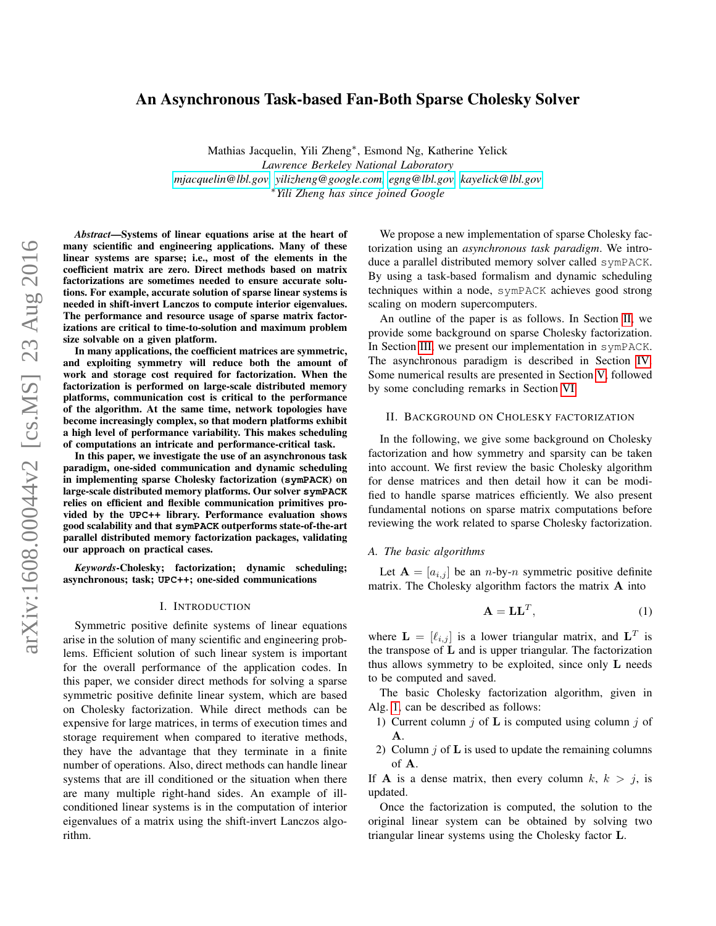# An Asynchronous Task-based Fan-Both Sparse Cholesky Solver

Mathias Jacquelin, Yili Zheng<sup>∗</sup> , Esmond Ng, Katherine Yelick *Lawrence Berkeley National Laboratory [mjacquelin@lbl.gov,](mjacquelin@lbl.gov) [yilizheng@google.com,](yilizheng@google.com) [egng@lbl.gov,](egng@lbl.gov)<kayelick@lbl.gov>* <sup>∗</sup>*Yili Zheng has since joined Google*

*Abstract*—Systems of linear equations arise at the heart of many scientific and engineering applications. Many of these linear systems are sparse; i.e., most of the elements in the coefficient matrix are zero. Direct methods based on matrix factorizations are sometimes needed to ensure accurate solutions. For example, accurate solution of sparse linear systems is needed in shift-invert Lanczos to compute interior eigenvalues. The performance and resource usage of sparse matrix factorizations are critical to time-to-solution and maximum problem size solvable on a given platform.

In many applications, the coefficient matrices are symmetric, and exploiting symmetry will reduce both the amount of work and storage cost required for factorization. When the factorization is performed on large-scale distributed memory platforms, communication cost is critical to the performance of the algorithm. At the same time, network topologies have become increasingly complex, so that modern platforms exhibit a high level of performance variability. This makes scheduling of computations an intricate and performance-critical task.

In this paper, we investigate the use of an asynchronous task paradigm, one-sided communication and dynamic scheduling in implementing sparse Cholesky factorization (**symPACK**) on large-scale distributed memory platforms. Our solver **symPACK** relies on efficient and flexible communication primitives provided by the **UPC++** library. Performance evaluation shows good scalability and that **symPACK** outperforms state-of-the-art parallel distributed memory factorization packages, validating our approach on practical cases.

*Keywords*-Cholesky; factorization; dynamic scheduling; asynchronous; task; **UPC++**; one-sided communications

#### I. INTRODUCTION

Symmetric positive definite systems of linear equations arise in the solution of many scientific and engineering problems. Efficient solution of such linear system is important for the overall performance of the application codes. In this paper, we consider direct methods for solving a sparse symmetric positive definite linear system, which are based on Cholesky factorization. While direct methods can be expensive for large matrices, in terms of execution times and storage requirement when compared to iterative methods, they have the advantage that they terminate in a finite number of operations. Also, direct methods can handle linear systems that are ill conditioned or the situation when there are many multiple right-hand sides. An example of illconditioned linear systems is in the computation of interior eigenvalues of a matrix using the shift-invert Lanczos algorithm.

We propose a new implementation of sparse Cholesky factorization using an *asynchronous task paradigm*. We introduce a parallel distributed memory solver called symPACK. By using a task-based formalism and dynamic scheduling techniques within a node, symPACK achieves good strong scaling on modern supercomputers.

An outline of the paper is as follows. In Section [II,](#page-0-0) we provide some background on sparse Cholesky factorization. In Section [III,](#page-2-0) we present our implementation in symPACK. The asynchronous paradigm is described in Section [IV.](#page-4-0) Some numerical results are presented in Section [V,](#page-6-0) followed by some concluding remarks in Section [VI](#page-8-0)

## <span id="page-0-0"></span>II. BACKGROUND ON CHOLESKY FACTORIZATION

In the following, we give some background on Cholesky factorization and how symmetry and sparsity can be taken into account. We first review the basic Cholesky algorithm for dense matrices and then detail how it can be modified to handle sparse matrices efficiently. We also present fundamental notions on sparse matrix computations before reviewing the work related to sparse Cholesky factorization.

#### *A. The basic algorithms*

Let  $A = [a_{i,j}]$  be an *n*-by-*n* symmetric positive definite matrix. The Cholesky algorithm factors the matrix A into

$$
\mathbf{A} = \mathbf{L}\mathbf{L}^T,\tag{1}
$$

where  $\mathbf{L} = [\ell_{i,j}]$  is a lower triangular matrix, and  $\mathbf{L}^T$  is the transpose of L and is upper triangular. The factorization thus allows symmetry to be exploited, since only L needs to be computed and saved.

The basic Cholesky factorization algorithm, given in Alg. [1,](#page-1-0) can be described as follows:

- 1) Current column  $j$  of  $\bf{L}$  is computed using column  $j$  of A.
- 2) Column  $i$  of  $L$  is used to update the remaining columns of A.

If **A** is a dense matrix, then every column k,  $k > j$ , is updated.

Once the factorization is computed, the solution to the original linear system can be obtained by solving two triangular linear systems using the Cholesky factor L.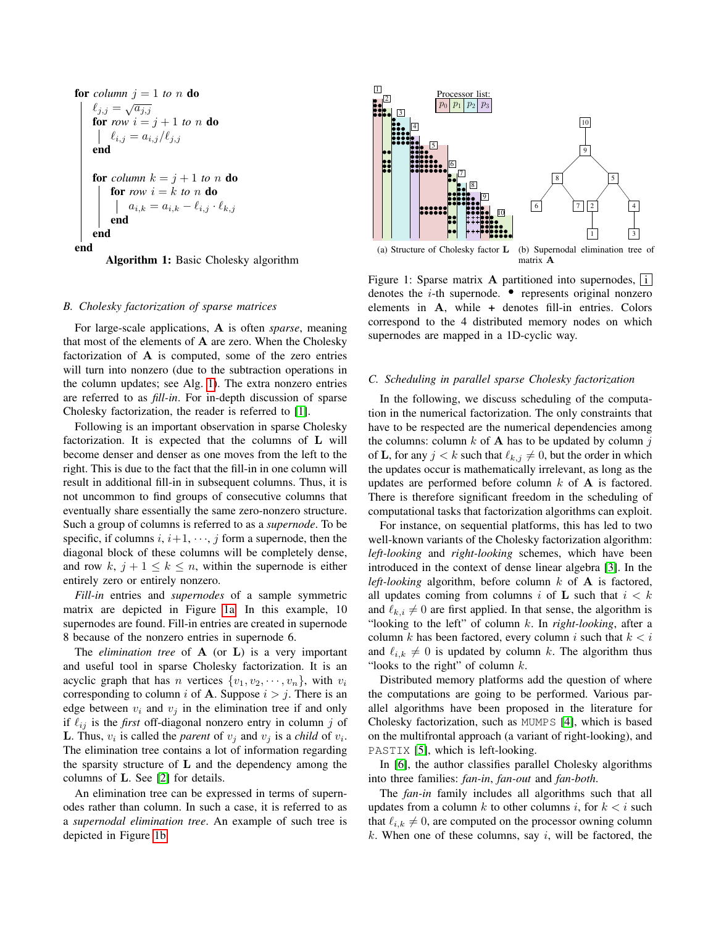**for** column 
$$
j = 1
$$
 to *n* **do**  
\n
$$
\begin{cases}\n\ell_{j,j} = \sqrt{a_{j,j}} \\
\text{for } row \ i = j + 1 \ \text{to } n \ \text{do} \\
\ell_{i,j} = a_{i,j}/\ell_{j,j} \\
\text{end}\n\end{cases}
$$
\n**for** column  $k = j + 1$  to *n* **do**  
\n**for** row  $i = k$  to *n* **do**  
\n
$$
\begin{cases}\n\text{for row } i = k \ \text{to } n \ \text{do} \\
a_{i,k} = a_{i,k} - \ell_{i,j} \cdot \ell_{k,j} \\
\text{end}\n\end{cases}
$$
\n**end**

<span id="page-1-0"></span>Algorithm 1: Basic Cholesky algorithm

#### *B. Cholesky factorization of sparse matrices*

For large-scale applications, A is often *sparse*, meaning that most of the elements of A are zero. When the Cholesky factorization of A is computed, some of the zero entries will turn into nonzero (due to the subtraction operations in the column updates; see Alg. [1\)](#page-1-0). The extra nonzero entries are referred to as *fill-in*. For in-depth discussion of sparse Cholesky factorization, the reader is referred to [\[1\]](#page-9-0).

Following is an important observation in sparse Cholesky factorization. It is expected that the columns of L will become denser and denser as one moves from the left to the right. This is due to the fact that the fill-in in one column will result in additional fill-in in subsequent columns. Thus, it is not uncommon to find groups of consecutive columns that eventually share essentially the same zero-nonzero structure. Such a group of columns is referred to as a *supernode*. To be specific, if columns  $i, i+1, \dots, j$  form a supernode, then the diagonal block of these columns will be completely dense, and row k,  $j + 1 \leq k \leq n$ , within the supernode is either entirely zero or entirely nonzero.

*Fill-in* entries and *supernodes* of a sample symmetric matrix are depicted in Figure [1a.](#page-1-1) In this example, 10 supernodes are found. Fill-in entries are created in supernode 8 because of the nonzero entries in supernode 6.

The *elimination tree* of A (or L) is a very important and useful tool in sparse Cholesky factorization. It is an acyclic graph that has n vertices  $\{v_1, v_2, \dots, v_n\}$ , with  $v_i$ corresponding to column i of **A**. Suppose  $i > j$ . There is an edge between  $v_i$  and  $v_j$  in the elimination tree if and only if  $\ell_{ij}$  is the *first* off-diagonal nonzero entry in column j of **L**. Thus,  $v_i$  is called the *parent* of  $v_j$  and  $v_j$  is a *child* of  $v_i$ . The elimination tree contains a lot of information regarding the sparsity structure of  $L$  and the dependency among the columns of L. See [\[2\]](#page-9-1) for details.

An elimination tree can be expressed in terms of supernodes rather than column. In such a case, it is referred to as a *supernodal elimination tree*. An example of such tree is depicted in Figure [1b.](#page-1-2)

<span id="page-1-1"></span>

<span id="page-1-2"></span>Figure 1: Sparse matrix A partitioned into supernodes,  $|i|$ denotes the *i*-th supernode.  $\bullet$  represents original nonzero elements in A, while + denotes fill-in entries. Colors correspond to the 4 distributed memory nodes on which supernodes are mapped in a 1D-cyclic way.

## *C. Scheduling in parallel sparse Cholesky factorization*

In the following, we discuss scheduling of the computation in the numerical factorization. The only constraints that have to be respected are the numerical dependencies among the columns: column  $k$  of  $A$  has to be updated by column  $j$ of **L**, for any  $j < k$  such that  $\ell_{k,j} \neq 0$ , but the order in which the updates occur is mathematically irrelevant, as long as the updates are performed before column  $k$  of  $A$  is factored. There is therefore significant freedom in the scheduling of computational tasks that factorization algorithms can exploit.

For instance, on sequential platforms, this has led to two well-known variants of the Cholesky factorization algorithm: *left-looking* and *right-looking* schemes, which have been introduced in the context of dense linear algebra [\[3\]](#page-9-2). In the *left-looking* algorithm, before column  $k$  of  $A$  is factored, all updates coming from columns i of L such that  $i < k$ and  $\ell_{k,i} \neq 0$  are first applied. In that sense, the algorithm is "looking to the left" of column k. In *right-looking*, after a column k has been factored, every column i such that  $k < i$ and  $\ell_{i,k} \neq 0$  is updated by column k. The algorithm thus "looks to the right" of column  $k$ .

Distributed memory platforms add the question of where the computations are going to be performed. Various parallel algorithms have been proposed in the literature for Cholesky factorization, such as MUMPS [\[4\]](#page-9-3), which is based on the multifrontal approach (a variant of right-looking), and PASTIX [\[5\]](#page-9-4), which is left-looking.

In [\[6\]](#page-9-5), the author classifies parallel Cholesky algorithms into three families: *fan-in*, *fan-out* and *fan-both*.

The *fan-in* family includes all algorithms such that all updates from a column k to other columns i, for  $k < i$  such that  $\ell_{i,k} \neq 0$ , are computed on the processor owning column  $k$ . When one of these columns, say  $i$ , will be factored, the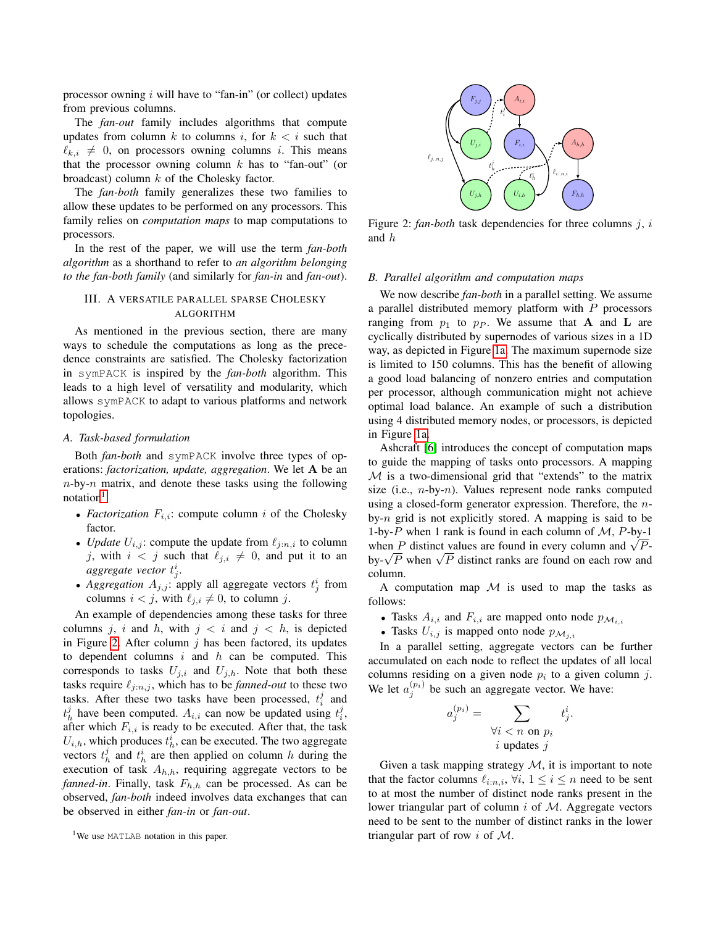processor owning  $i$  will have to "fan-in" (or collect) updates from previous columns.

The *fan-out* family includes algorithms that compute updates from column k to columns i, for  $k < i$  such that  $\ell_{k,i} \neq 0$ , on processors owning columns i. This means that the processor owning column  $k$  has to "fan-out" (or broadcast) column  $k$  of the Cholesky factor.

The *fan-both* family generalizes these two families to allow these updates to be performed on any processors. This family relies on *computation maps* to map computations to processors.

In the rest of the paper, we will use the term *fan-both algorithm* as a shorthand to refer to *an algorithm belonging to the fan-both family* (and similarly for *fan-in* and *fan-out*).

## <span id="page-2-0"></span>III. A VERSATILE PARALLEL SPARSE CHOLESKY ALGORITHM

As mentioned in the previous section, there are many ways to schedule the computations as long as the precedence constraints are satisfied. The Cholesky factorization in symPACK is inspired by the *fan-both* algorithm. This leads to a high level of versatility and modularity, which allows symPACK to adapt to various platforms and network topologies.

## *A. Task-based formulation*

Both *fan-both* and symPACK involve three types of operations: *factorization, update, aggregation*. We let A be an  $n$ -by- $n$  matrix, and denote these tasks using the following  $notation<sup>1</sup>$  $notation<sup>1</sup>$  $notation<sup>1</sup>$ :

- *Factorization*  $F_{i,i}$ : compute column i of the Cholesky factor.
- *Update*  $U_{i,j}$ : compute the update from  $\ell_{i:n,i}$  to column j, with  $i < j$  such that  $\ell_{i,i} \neq 0$ , and put it to an aggregate vector  $t_j^i$ .
- Aggregation  $A_{j,j}$ : apply all aggregate vectors  $t_j^i$  from columns  $i < j$ , with  $\ell_{j,i} \neq 0$ , to column j.

An example of dependencies among these tasks for three columns j, i and h, with  $j < i$  and  $j < h$ , is depicted in Figure [2.](#page-2-2) After column  $j$  has been factored, its updates to dependent columns  $i$  and  $h$  can be computed. This corresponds to tasks  $U_{j,i}$  and  $U_{j,h}$ . Note that both these tasks require  $\ell_{j:n,j}$ , which has to be *fanned-out* to these two tasks. After these two tasks have been processed,  $t_i^j$  and  $t_h^j$  have been computed.  $A_{i,i}$  can now be updated using  $t_i^j$ , after which  $F_{i,i}$  is ready to be executed. After that, the task  $U_{i,h}$ , which produces  $t_h^i$ , can be executed. The two aggregate vectors  $t_h^j$  and  $t_h^i$  are then applied on column h during the execution of task  $A_{h,h}$ , requiring aggregate vectors to be *fanned-in*. Finally, task  $F_{h,h}$  can be processed. As can be observed, *fan-both* indeed involves data exchanges that can be observed in either *fan-in* or *fan-out*.

<span id="page-2-2"></span>

Figure 2: *fan-both* task dependencies for three columns j, i and h

#### *B. Parallel algorithm and computation maps*

We now describe *fan-both* in a parallel setting. We assume a parallel distributed memory platform with  $P$  processors ranging from  $p_1$  to  $p_P$ . We assume that **A** and **L** are cyclically distributed by supernodes of various sizes in a 1D way, as depicted in Figure [1a.](#page-1-1) The maximum supernode size is limited to 150 columns. This has the benefit of allowing a good load balancing of nonzero entries and computation per processor, although communication might not achieve optimal load balance. An example of such a distribution using 4 distributed memory nodes, or processors, is depicted in Figure [1a.](#page-1-1)

Ashcraft [\[6\]](#page-9-5) introduces the concept of computation maps to guide the mapping of tasks onto processors. A mapping  $M$  is a two-dimensional grid that "extends" to the matrix size (i.e.,  $n$ -by- $n$ ). Values represent node ranks computed using a closed-form generator expression. Therefore, the nby-n grid is not explicitly stored. A mapping is said to be 1-by-P when 1 rank is found in each column of  $M$ , P-by-1 1-by-P when 1 rank is round in each column or  $\mathcal{M}$ , P-by-1<br>when P distinct values are found in every column and  $\sqrt{P}$ when *P* distinct values are found in every column and  $\sqrt{P}$ <br>by- $\sqrt{P}$  when  $\sqrt{P}$  distinct ranks are found on each row and column.

A computation map  $M$  is used to map the tasks as follows:

- Tasks  $A_{i,i}$  and  $F_{i,i}$  are mapped onto node  $p_{\mathcal{M}_{i,i}}$
- Tasks  $U_{i,j}$  is mapped onto node  $p_{\mathcal{M}_{j,i}}$

In a parallel setting, aggregate vectors can be further accumulated on each node to reflect the updates of all local columns residing on a given node  $p_i$  to a given column j. We let  $a_j^{(p_i)}$  be such an aggregate vector. We have:

$$
a_j^{(p_i)} = \sum_{\substack{\forall i \ < \ n \text{ on } p_i \\ i \text{ updates } j}} t_j^i.
$$

Given a task mapping strategy  $M$ , it is important to note that the factor columns  $\ell_{i:n,i}$ ,  $\forall i, 1 \leq i \leq n$  need to be sent to at most the number of distinct node ranks present in the lower triangular part of column  $i$  of  $M$ . Aggregate vectors need to be sent to the number of distinct ranks in the lower triangular part of row  $i$  of  $M$ .

<span id="page-2-1"></span><sup>&</sup>lt;sup>1</sup>We use MATLAB notation in this paper.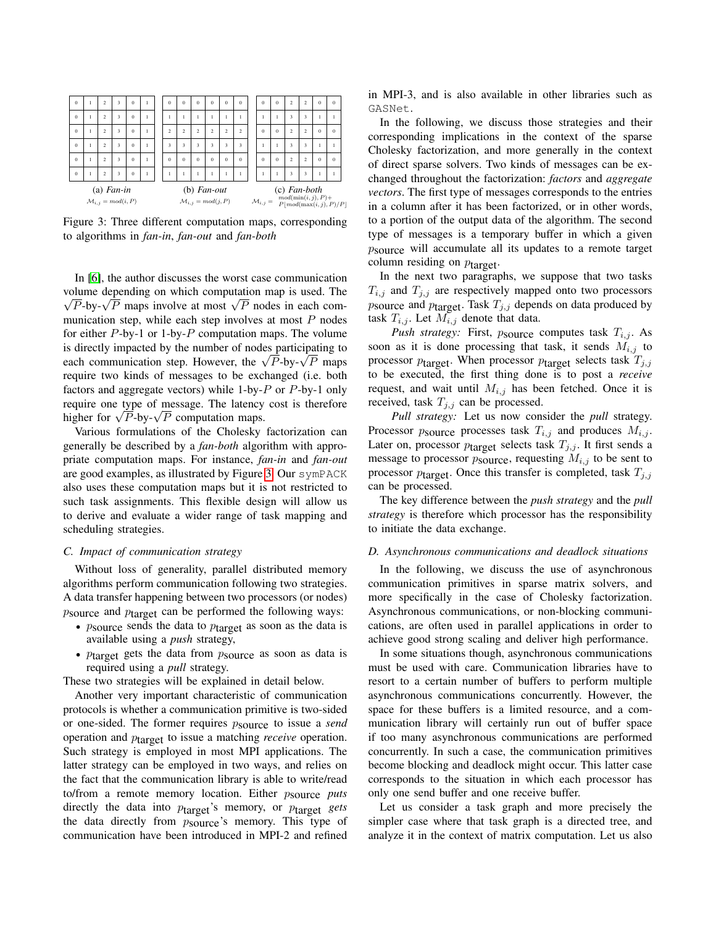<span id="page-3-0"></span>

Figure 3: Three different computation maps, corresponding to algorithms in *fan-in*, *fan-out* and *fan-both*

In [\[6\]](#page-9-5), the author discusses the worst case communication volume depending on which computation map is used. The bume depending on which computation map is used. The  $\overline{P}$ -by- $\sqrt{P}$  maps involve at most  $\sqrt{P}$  nodes in each communication step, while each step involves at most  $P$  nodes for either  $P$ -by-1 or 1-by- $P$  computation maps. The volume is directly impacted by the number of nodes participating to is directly impacted by the number of nodes participating to each communication step. However, the  $\sqrt{P}$ -by- $\sqrt{P}$  maps require two kinds of messages to be exchanged (i.e. both factors and aggregate vectors) while  $1$ -by- $P$  or  $P$ -by-1 only require one type of message. The latency cost is therefore require one type or message. The latency<br>higher for  $\sqrt{P}$ -by- $\sqrt{P}$  computation maps.

Various formulations of the Cholesky factorization can generally be described by a *fan-both* algorithm with appropriate computation maps. For instance, *fan-in* and *fan-out* are good examples, as illustrated by Figure [3.](#page-3-0) Our symPACK also uses these computation maps but it is not restricted to such task assignments. This flexible design will allow us to derive and evaluate a wider range of task mapping and scheduling strategies.

## *C. Impact of communication strategy*

Without loss of generality, parallel distributed memory algorithms perform communication following two strategies. A data transfer happening between two processors (or nodes)  $p$ source and  $p$ <sub>target</sub> can be performed the following ways:

- $p_{\text{source}}$  sends the data to  $p_{\text{target}}$  as soon as the data is available using a *push* strategy,
- $p_{\text{target}}$  gets the data from  $p_{\text{source}}$  as soon as data is required using a *pull* strategy.

These two strategies will be explained in detail below.

Another very important characteristic of communication protocols is whether a communication primitive is two-sided or one-sided. The former requires psource to issue a *send* operation and ptarget to issue a matching *receive* operation. Such strategy is employed in most MPI applications. The latter strategy can be employed in two ways, and relies on the fact that the communication library is able to write/read to/from a remote memory location. Either psource *puts* directly the data into ptarget's memory, or ptarget *gets* the data directly from *psource's* memory. This type of communication have been introduced in MPI-2 and refined in MPI-3, and is also available in other libraries such as GASNet.

In the following, we discuss those strategies and their corresponding implications in the context of the sparse Cholesky factorization, and more generally in the context of direct sparse solvers. Two kinds of messages can be exchanged throughout the factorization: *factors* and *aggregate vectors*. The first type of messages corresponds to the entries in a column after it has been factorized, or in other words, to a portion of the output data of the algorithm. The second type of messages is a temporary buffer in which a given psource will accumulate all its updates to a remote target column residing on  $p_{\text{target}}$ .

In the next two paragraphs, we suppose that two tasks  $T_{i,j}$  and  $T_{j,j}$  are respectively mapped onto two processors *p* source and  $p_{\text{target}}$ . Task  $T_{j,j}$  depends on data produced by task  $T_{i,j}$ . Let  $M_{i,j}$  denote that data.

*Push strategy:* First,  $p_{\text{source}}$  computes task  $T_{i,j}$ . As soon as it is done processing that task, it sends  $M_{i,j}$  to processor  $p_{\text{target}}$ . When processor  $p_{\text{target}}$  selects task  $T_{j,j}$ to be executed, the first thing done is to post a *receive* request, and wait until  $M_{i,j}$  has been fetched. Once it is received, task  $T_{j,j}$  can be processed.

*Pull strategy:* Let us now consider the *pull* strategy. Processor  $p_{\text{source}}$  processes task  $T_{i,j}$  and produces  $M_{i,j}$ . Later on, processor  $p_{\text{target}}$  selects task  $T_{j,j}$ . It first sends a message to processor  $p_{\text{source}}$ , requesting  $M_{i,j}$  to be sent to processor  $p_{\text{target}}$ . Once this transfer is completed, task  $T_{j,j}$ can be processed.

The key difference between the *push strategy* and the *pull strategy* is therefore which processor has the responsibility to initiate the data exchange.

#### <span id="page-3-1"></span>*D. Asynchronous communications and deadlock situations*

In the following, we discuss the use of asynchronous communication primitives in sparse matrix solvers, and more specifically in the case of Cholesky factorization. Asynchronous communications, or non-blocking communications, are often used in parallel applications in order to achieve good strong scaling and deliver high performance.

In some situations though, asynchronous communications must be used with care. Communication libraries have to resort to a certain number of buffers to perform multiple asynchronous communications concurrently. However, the space for these buffers is a limited resource, and a communication library will certainly run out of buffer space if too many asynchronous communications are performed concurrently. In such a case, the communication primitives become blocking and deadlock might occur. This latter case corresponds to the situation in which each processor has only one send buffer and one receive buffer.

Let us consider a task graph and more precisely the simpler case where that task graph is a directed tree, and analyze it in the context of matrix computation. Let us also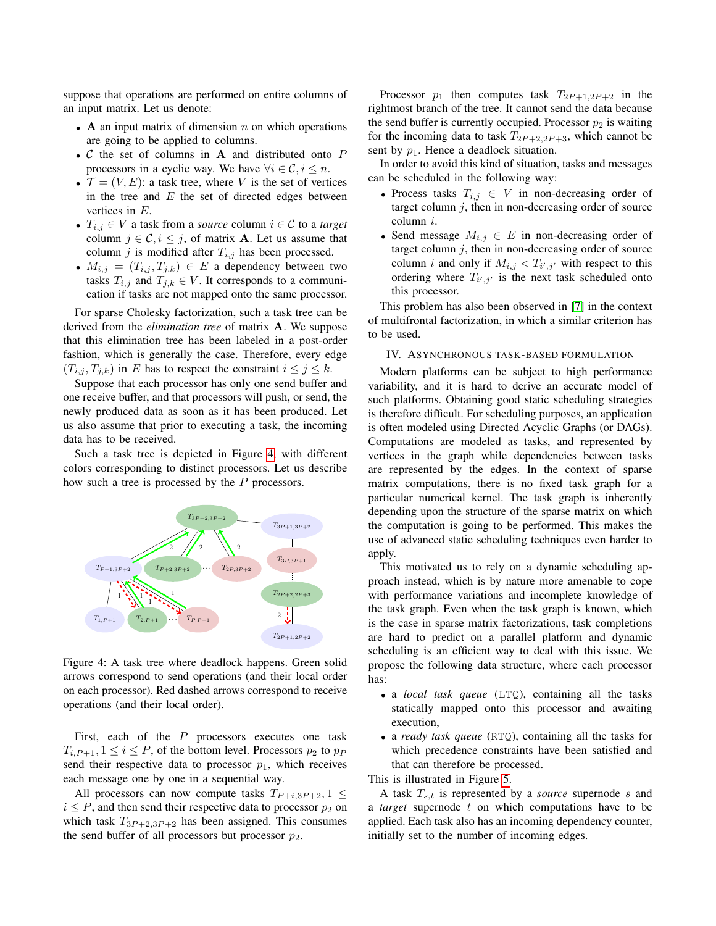suppose that operations are performed on entire columns of an input matrix. Let us denote:

- A an input matrix of dimension  $n$  on which operations are going to be applied to columns.
- $C$  the set of columns in  $A$  and distributed onto  $P$ processors in a cyclic way. We have  $\forall i \in \mathcal{C}, i \leq n$ .
- $\mathcal{T} = (V, E)$ : a task tree, where V is the set of vertices in the tree and  $E$  the set of directed edges between vertices in E.
- $T_{i,j} \in V$  a task from a *source* column  $i \in \mathcal{C}$  to a *target* column  $j \in \mathcal{C}, i \leq j$ , of matrix **A**. Let us assume that column j is modified after  $T_{i,j}$  has been processed.
- $M_{i,j} = (T_{i,j}, T_{j,k}) \in E$  a dependency between two tasks  $T_{i,j}$  and  $T_{j,k} \in V$ . It corresponds to a communication if tasks are not mapped onto the same processor.

For sparse Cholesky factorization, such a task tree can be derived from the *elimination tree* of matrix A. We suppose that this elimination tree has been labeled in a post-order fashion, which is generally the case. Therefore, every edge  $(T_{i,j}, T_{j,k})$  in E has to respect the constraint  $i \leq j \leq k$ .

Suppose that each processor has only one send buffer and one receive buffer, and that processors will push, or send, the newly produced data as soon as it has been produced. Let us also assume that prior to executing a task, the incoming data has to be received.

Such a task tree is depicted in Figure [4,](#page-4-1) with different colors corresponding to distinct processors. Let us describe how such a tree is processed by the P processors.

<span id="page-4-1"></span>

Figure 4: A task tree where deadlock happens. Green solid arrows correspond to send operations (and their local order on each processor). Red dashed arrows correspond to receive operations (and their local order).

First, each of the  $P$  processors executes one task  $T_{i,P+1}, 1 \leq i \leq P$ , of the bottom level. Processors  $p_2$  to  $p_P$ send their respective data to processor  $p_1$ , which receives each message one by one in a sequential way.

All processors can now compute tasks  $T_{P+i,3P+2}, 1 \leq$  $i \leq P$ , and then send their respective data to processor  $p_2$  on which task  $T_{3P+2,3P+2}$  has been assigned. This consumes the send buffer of all processors but processor  $p_2$ .

Processor  $p_1$  then computes task  $T_{2P+1,2P+2}$  in the rightmost branch of the tree. It cannot send the data because the send buffer is currently occupied. Processor  $p_2$  is waiting for the incoming data to task  $T_{2P+2,2P+3}$ , which cannot be sent by  $p_1$ . Hence a deadlock situation.

In order to avoid this kind of situation, tasks and messages can be scheduled in the following way:

- Process tasks  $T_{i,j} \in V$  in non-decreasing order of target column  $j$ , then in non-decreasing order of source column i.
- Send message  $M_{i,j} \in E$  in non-decreasing order of target column  $j$ , then in non-decreasing order of source column *i* and only if  $M_{i,j} < T_{i',j'}$  with respect to this ordering where  $T_{i',j'}$  is the next task scheduled onto this processor.

This problem has also been observed in [\[7\]](#page-9-6) in the context of multifrontal factorization, in which a similar criterion has to be used.

## <span id="page-4-0"></span>IV. ASYNCHRONOUS TASK-BASED FORMULATION

Modern platforms can be subject to high performance variability, and it is hard to derive an accurate model of such platforms. Obtaining good static scheduling strategies is therefore difficult. For scheduling purposes, an application is often modeled using Directed Acyclic Graphs (or DAGs). Computations are modeled as tasks, and represented by vertices in the graph while dependencies between tasks are represented by the edges. In the context of sparse matrix computations, there is no fixed task graph for a particular numerical kernel. The task graph is inherently depending upon the structure of the sparse matrix on which the computation is going to be performed. This makes the use of advanced static scheduling techniques even harder to apply.

This motivated us to rely on a dynamic scheduling approach instead, which is by nature more amenable to cope with performance variations and incomplete knowledge of the task graph. Even when the task graph is known, which is the case in sparse matrix factorizations, task completions are hard to predict on a parallel platform and dynamic scheduling is an efficient way to deal with this issue. We propose the following data structure, where each processor has:

- a *local task queue* (LTQ), containing all the tasks statically mapped onto this processor and awaiting execution,
- a *ready task queue* (RTQ), containing all the tasks for which precedence constraints have been satisfied and that can therefore be processed.

This is illustrated in Figure [5.](#page-5-0)

A task  $T_{s,t}$  is represented by a *source* supernode s and a *target* supernode t on which computations have to be applied. Each task also has an incoming dependency counter, initially set to the number of incoming edges.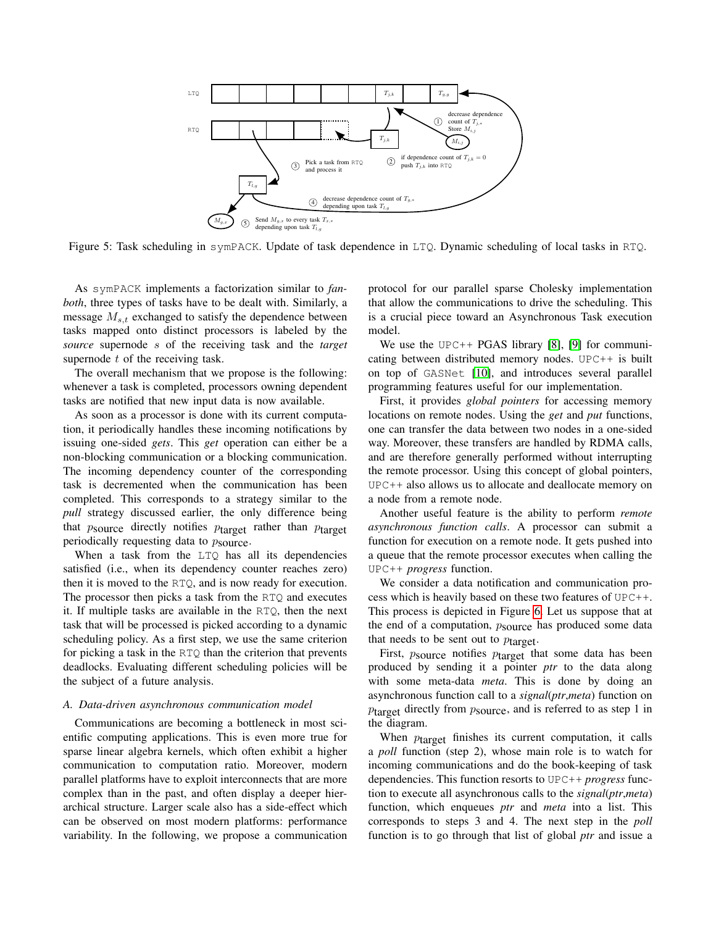<span id="page-5-0"></span>

Figure 5: Task scheduling in symPACK. Update of task dependence in LTQ. Dynamic scheduling of local tasks in RTQ.

As symPACK implements a factorization similar to *fanboth*, three types of tasks have to be dealt with. Similarly, a message  $M_{s,t}$  exchanged to satisfy the dependence between tasks mapped onto distinct processors is labeled by the *source* supernode s of the receiving task and the *target* supernode  $t$  of the receiving task.

The overall mechanism that we propose is the following: whenever a task is completed, processors owning dependent tasks are notified that new input data is now available.

As soon as a processor is done with its current computation, it periodically handles these incoming notifications by issuing one-sided *gets*. This *get* operation can either be a non-blocking communication or a blocking communication. The incoming dependency counter of the corresponding task is decremented when the communication has been completed. This corresponds to a strategy similar to the *pull* strategy discussed earlier, the only difference being that  $p_{\text{source}}$  directly notifies  $p_{\text{target}}$  rather than  $p_{\text{target}}$ periodically requesting data to  $p_{\text{source}}$ .

When a task from the LTO has all its dependencies satisfied (i.e., when its dependency counter reaches zero) then it is moved to the RTQ, and is now ready for execution. The processor then picks a task from the RTQ and executes it. If multiple tasks are available in the RTQ, then the next task that will be processed is picked according to a dynamic scheduling policy. As a first step, we use the same criterion for picking a task in the RTQ than the criterion that prevents deadlocks. Evaluating different scheduling policies will be the subject of a future analysis.

#### <span id="page-5-1"></span>*A. Data-driven asynchronous communication model*

Communications are becoming a bottleneck in most scientific computing applications. This is even more true for sparse linear algebra kernels, which often exhibit a higher communication to computation ratio. Moreover, modern parallel platforms have to exploit interconnects that are more complex than in the past, and often display a deeper hierarchical structure. Larger scale also has a side-effect which can be observed on most modern platforms: performance variability. In the following, we propose a communication protocol for our parallel sparse Cholesky implementation that allow the communications to drive the scheduling. This is a crucial piece toward an Asynchronous Task execution model.

We use the UPC++ PGAS library  $[8]$ ,  $[9]$  for communicating between distributed memory nodes. UPC++ is built on top of GASNet [\[10\]](#page-9-9), and introduces several parallel programming features useful for our implementation.

First, it provides *global pointers* for accessing memory locations on remote nodes. Using the *get* and *put* functions, one can transfer the data between two nodes in a one-sided way. Moreover, these transfers are handled by RDMA calls, and are therefore generally performed without interrupting the remote processor. Using this concept of global pointers, UPC++ also allows us to allocate and deallocate memory on a node from a remote node.

Another useful feature is the ability to perform *remote asynchronous function calls*. A processor can submit a function for execution on a remote node. It gets pushed into a queue that the remote processor executes when calling the UPC++ *progress* function.

We consider a data notification and communication process which is heavily based on these two features of UPC++. This process is depicted in Figure [6.](#page-6-1) Let us suppose that at the end of a computation,  $p_{\text{source}}$  has produced some data that needs to be sent out to  $p_{\text{target}}$ .

First,  $p_{\text{source}}$  notifies  $p_{\text{target}}$  that some data has been produced by sending it a pointer *ptr* to the data along with some meta-data *meta*. This is done by doing an asynchronous function call to a *signal*(*ptr*,*meta*) function on  $p_{\text{target}}$  directly from  $p_{\text{source}}$ , and is referred to as step 1 in the diagram.

When  $p_{\text{target}}$  finishes its current computation, it calls a *poll* function (step 2), whose main role is to watch for incoming communications and do the book-keeping of task dependencies. This function resorts to UPC++ *progress* function to execute all asynchronous calls to the *signal*(*ptr*,*meta*) function, which enqueues *ptr* and *meta* into a list. This corresponds to steps 3 and 4. The next step in the *poll* function is to go through that list of global *ptr* and issue a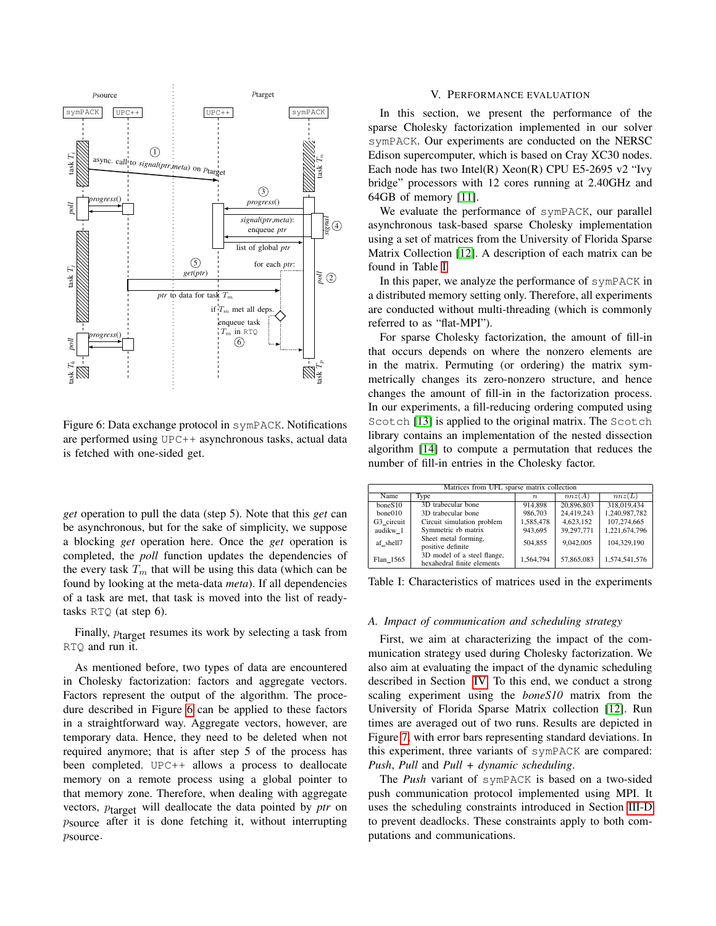<span id="page-6-1"></span>

Figure 6: Data exchange protocol in symPACK. Notifications are performed using UPC++ asynchronous tasks, actual data is fetched with one-sided get.

*get* operation to pull the data (step 5). Note that this *get* can be asynchronous, but for the sake of simplicity, we suppose a blocking *get* operation here. Once the *get* operation is completed, the *poll* function updates the dependencies of the every task  $T_m$  that will be using this data (which can be found by looking at the meta-data *meta*). If all dependencies of a task are met, that task is moved into the list of readytasks RTQ (at step 6).

Finally,  $p_{\text{target}}$  resumes its work by selecting a task from RTQ and run it.

As mentioned before, two types of data are encountered in Cholesky factorization: factors and aggregate vectors. Factors represent the output of the algorithm. The procedure described in Figure [6](#page-6-1) can be applied to these factors in a straightforward way. Aggregate vectors, however, are temporary data. Hence, they need to be deleted when not required anymore; that is after step 5 of the process has been completed. UPC++ allows a process to deallocate memory on a remote process using a global pointer to that memory zone. Therefore, when dealing with aggregate vectors, ptarget will deallocate the data pointed by *ptr* on psource after it is done fetching it, without interrupting psource.

# V. PERFORMANCE EVALUATION

<span id="page-6-0"></span>In this section, we present the performance of the sparse Cholesky factorization implemented in our solver symPACK. Our experiments are conducted on the NERSC Edison supercomputer, which is based on Cray XC30 nodes. Each node has two Intel(R) Xeon(R) CPU E5-2695 v2 "Ivy bridge" processors with 12 cores running at 2.40GHz and 64GB of memory [\[11\]](#page-9-10).

We evaluate the performance of symPACK, our parallel asynchronous task-based sparse Cholesky implementation using a set of matrices from the University of Florida Sparse Matrix Collection [\[12\]](#page-9-11). A description of each matrix can be found in Table [I.](#page-6-2)

In this paper, we analyze the performance of symPACK in a distributed memory setting only. Therefore, all experiments are conducted without multi-threading (which is commonly referred to as "flat-MPI").

For sparse Cholesky factorization, the amount of fill-in that occurs depends on where the nonzero elements are in the matrix. Permuting (or ordering) the matrix symmetrically changes its zero-nonzero structure, and hence changes the amount of fill-in in the factorization process. In our experiments, a fill-reducing ordering computed using Scotch [\[13\]](#page-9-12) is applied to the original matrix. The Scotch library contains an implementation of the nested dissection algorithm [\[14\]](#page-9-13) to compute a permutation that reduces the number of fill-in entries in the Cholesky factor.

<span id="page-6-2"></span>

| Matrices from UFL sparse matrix collection |                                                           |                  |            |               |  |  |  |  |
|--------------------------------------------|-----------------------------------------------------------|------------------|------------|---------------|--|--|--|--|
| Name                                       | <b>Type</b>                                               | $\boldsymbol{n}$ | nnz(A)     | nnz(L)        |  |  |  |  |
| boneS10                                    | 3D trabecular bone                                        | 914.898          | 20,896,803 | 318,019,434   |  |  |  |  |
| bone010                                    | 3D trabecular bone                                        | 986,703          | 24,419,243 | 1,240,987,782 |  |  |  |  |
| G3 circuit                                 | Circuit simulation problem                                | 1,585,478        | 4,623,152  | 107,274,665   |  |  |  |  |
| audikw 1                                   | Symmetric rb matrix                                       | 943.695          | 39,297,771 | 1.221.674.796 |  |  |  |  |
| af shell7                                  | Sheet metal forming,<br>positive definite                 | 504.855          | 9.042.005  | 104.329.190   |  |  |  |  |
| Flan 1565                                  | 3D model of a steel flange,<br>hexahedral finite elements | 1.564.794        | 57,865,083 | 1.574.541.576 |  |  |  |  |

Table I: Characteristics of matrices used in the experiments

#### *A. Impact of communication and scheduling strategy*

First, we aim at characterizing the impact of the communication strategy used during Cholesky factorization. We also aim at evaluating the impact of the dynamic scheduling described in Section [IV.](#page-4-0) To this end, we conduct a strong scaling experiment using the *boneS10* matrix from the University of Florida Sparse Matrix collection [\[12\]](#page-9-11). Run times are averaged out of two runs. Results are depicted in Figure [7,](#page-7-0) with error bars representing standard deviations. In this experiment, three variants of symPACK are compared: *Push*, *Pull* and *Pull + dynamic scheduling*.

The *Push* variant of symPACK is based on a two-sided push communication protocol implemented using MPI. It uses the scheduling constraints introduced in Section [III-D](#page-3-1) to prevent deadlocks. These constraints apply to both computations and communications.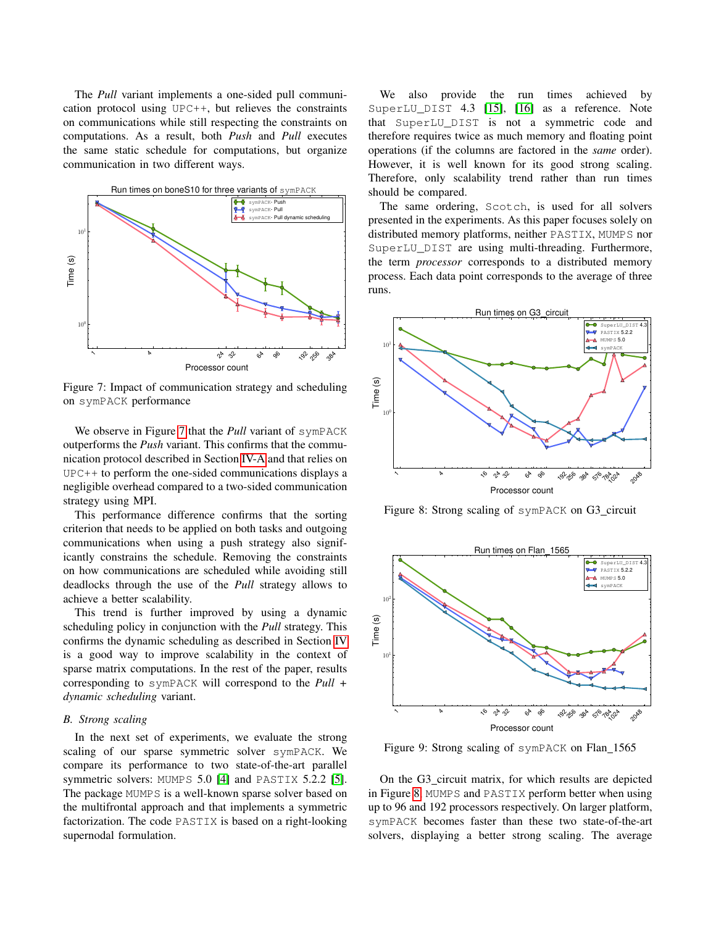The *Pull* variant implements a one-sided pull communication protocol using UPC++, but relieves the constraints on communications while still respecting the constraints on computations. As a result, both *Push* and *Pull* executes the same static schedule for computations, but organize communication in two different ways.

<span id="page-7-0"></span>

Figure 7: Impact of communication strategy and scheduling on symPACK performance

We observe in Figure [7](#page-7-0) that the *Pull* variant of symPACK outperforms the *Push* variant. This confirms that the communication protocol described in Section [IV-A](#page-5-1) and that relies on UPC++ to perform the one-sided communications displays a negligible overhead compared to a two-sided communication strategy using MPI.

This performance difference confirms that the sorting criterion that needs to be applied on both tasks and outgoing communications when using a push strategy also significantly constrains the schedule. Removing the constraints on how communications are scheduled while avoiding still deadlocks through the use of the *Pull* strategy allows to achieve a better scalability.

This trend is further improved by using a dynamic scheduling policy in conjunction with the *Pull* strategy. This confirms the dynamic scheduling as described in Section [IV](#page-4-0) is a good way to improve scalability in the context of sparse matrix computations. In the rest of the paper, results corresponding to symPACK will correspond to the *Pull + dynamic scheduling* variant.

# *B. Strong scaling*

In the next set of experiments, we evaluate the strong scaling of our sparse symmetric solver symPACK. We compare its performance to two state-of-the-art parallel symmetric solvers: MUMPS 5.0 [\[4\]](#page-9-3) and PASTIX 5.2.2 [\[5\]](#page-9-4). The package MUMPS is a well-known sparse solver based on the multifrontal approach and that implements a symmetric factorization. The code PASTIX is based on a right-looking supernodal formulation.

We also provide the run times achieved by SuperLU\_DIST 4.3 [\[15\]](#page-9-14), [\[16\]](#page-9-15) as a reference. Note that SuperLU\_DIST is not a symmetric code and therefore requires twice as much memory and floating point operations (if the columns are factored in the *same* order). However, it is well known for its good strong scaling. Therefore, only scalability trend rather than run times should be compared.

The same ordering, Scotch, is used for all solvers presented in the experiments. As this paper focuses solely on distributed memory platforms, neither PASTIX, MUMPS nor SuperLU\_DIST are using multi-threading. Furthermore, the term *processor* corresponds to a distributed memory process. Each data point corresponds to the average of three runs.

<span id="page-7-1"></span>

Figure 8: Strong scaling of symPACK on G3\_circuit

<span id="page-7-2"></span>

Figure 9: Strong scaling of symPACK on Flan 1565

On the G3 circuit matrix, for which results are depicted in Figure [8,](#page-7-1) MUMPS and PASTIX perform better when using up to 96 and 192 processors respectively. On larger platform, symPACK becomes faster than these two state-of-the-art solvers, displaying a better strong scaling. The average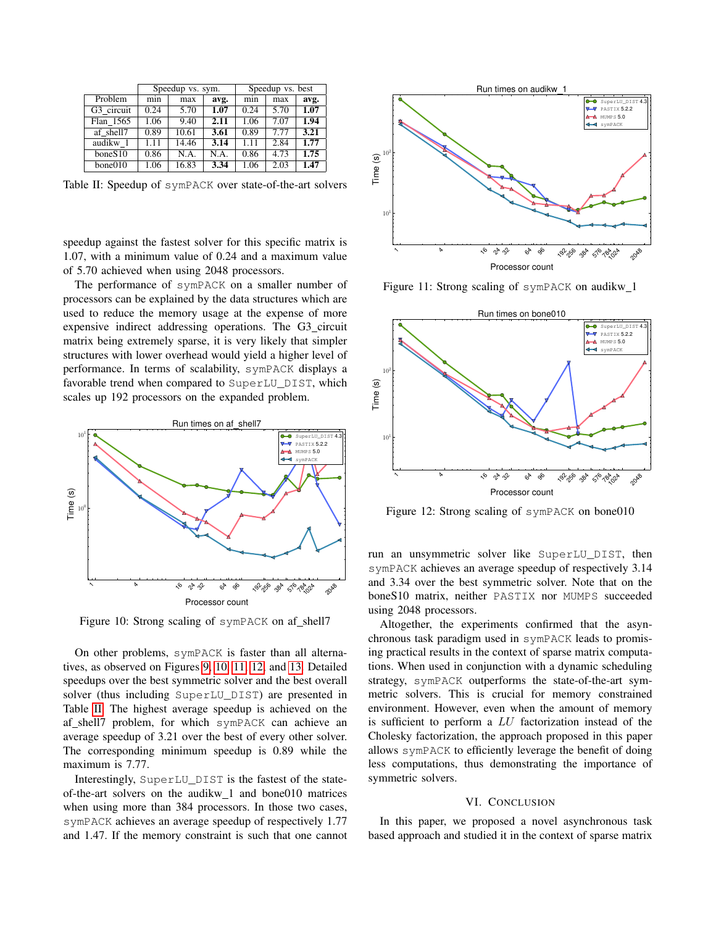<span id="page-8-4"></span>

|            | Speedup vs. sym. |       |      | Speedup vs. best |      |      |
|------------|------------------|-------|------|------------------|------|------|
| Problem    | min              | max   | avg. | mın              | max  | avg. |
| G3 circuit | 0.24             | 5.70  | 1.07 | 0.24             | 5.70 | 1.07 |
| Flan 1565  | 1.06             | 9.40  | 2.11 | 1.06             | 7.07 | 1.94 |
| af shell7  | 0.89             | 10.61 | 3.61 | 0.89             | 7.77 | 3.21 |
| audikw 1   | 1.11             | 14.46 | 3.14 | 1.11             | 2.84 | 1.77 |
| boneS10    | 0.86             | N.A.  | N.A. | 0.86             | 4.73 | 1.75 |
| bone010    | 1.06             | 16.83 | 3.34 | 1.06             | 2.03 | 1.47 |

Table II: Speedup of symPACK over state-of-the-art solvers

speedup against the fastest solver for this specific matrix is 1.07, with a minimum value of 0.24 and a maximum value of 5.70 achieved when using 2048 processors.

The performance of symPACK on a smaller number of processors can be explained by the data structures which are used to reduce the memory usage at the expense of more expensive indirect addressing operations. The G3 circuit matrix being extremely sparse, it is very likely that simpler structures with lower overhead would yield a higher level of performance. In terms of scalability, symPACK displays a favorable trend when compared to SuperLU\_DIST, which scales up 192 processors on the expanded problem.

<span id="page-8-1"></span>

Figure 10: Strong scaling of symPACK on af\_shell7

On other problems, symPACK is faster than all alternatives, as observed on Figures [9,](#page-7-2) [10,](#page-8-1) [11,](#page-8-2) [12,](#page-8-3) and [13.](#page-9-16) Detailed speedups over the best symmetric solver and the best overall solver (thus including SuperLU\_DIST) are presented in Table [II.](#page-8-4) The highest average speedup is achieved on the af shell7 problem, for which symPACK can achieve an average speedup of 3.21 over the best of every other solver. The corresponding minimum speedup is 0.89 while the maximum is 7.77.

Interestingly, SuperLU\_DIST is the fastest of the stateof-the-art solvers on the audikw 1 and bone010 matrices when using more than 384 processors. In those two cases, symPACK achieves an average speedup of respectively 1.77 and 1.47. If the memory constraint is such that one cannot

<span id="page-8-2"></span>

Figure 11: Strong scaling of symPACK on audikw 1

<span id="page-8-3"></span>

Figure 12: Strong scaling of symPACK on bone010

run an unsymmetric solver like SuperLU\_DIST, then symPACK achieves an average speedup of respectively 3.14 and 3.34 over the best symmetric solver. Note that on the boneS10 matrix, neither PASTIX nor MUMPS succeeded using 2048 processors.

Altogether, the experiments confirmed that the asynchronous task paradigm used in symPACK leads to promising practical results in the context of sparse matrix computations. When used in conjunction with a dynamic scheduling strategy, symPACK outperforms the state-of-the-art symmetric solvers. This is crucial for memory constrained environment. However, even when the amount of memory is sufficient to perform a LU factorization instead of the Cholesky factorization, the approach proposed in this paper allows symPACK to efficiently leverage the benefit of doing less computations, thus demonstrating the importance of symmetric solvers.

## VI. CONCLUSION

<span id="page-8-0"></span>In this paper, we proposed a novel asynchronous task based approach and studied it in the context of sparse matrix